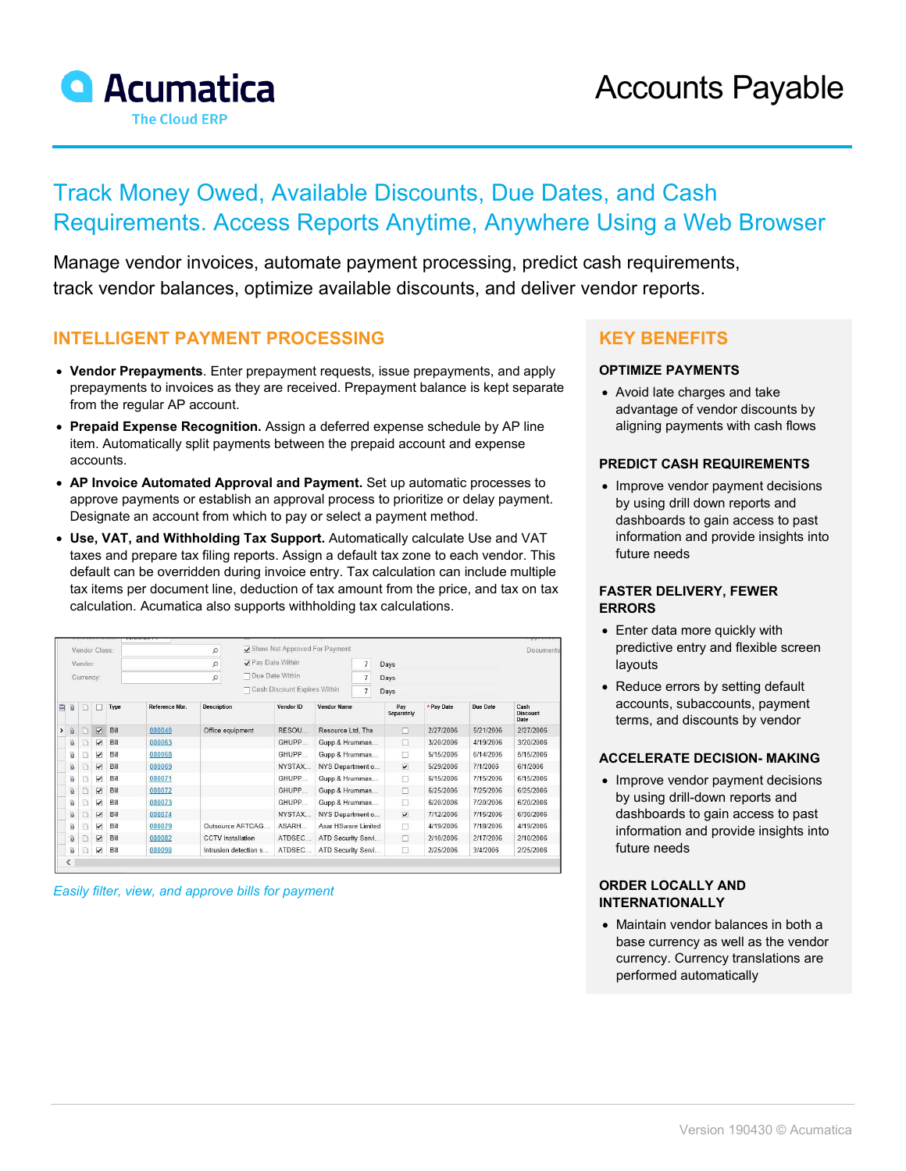

# Track Money Owed, Available Discounts, Due Dates, and Cash Requirements. Access Reports Anytime, Anywhere Using a Web Browser

Manage vendor invoices, automate payment processing, predict cash requirements, track vendor balances, optimize available discounts, and deliver vendor reports.

### **INTELLIGENT PAYMENT PROCESSING**

- **Vendor Prepayments**. Enter prepayment requests, issue prepayments, and apply prepayments to invoices as they are received. Prepayment balance is kept separate from the regular AP account.
- **Prepaid Expense Recognition.** Assign a deferred expense schedule by AP line item. Automatically split payments between the prepaid account and expense accounts.
- **AP Invoice Automated Approval and Payment.** Set up automatic processes to approve payments or establish an approval process to prioritize or delay payment. Designate an account from which to pay or select a payment method.
- **Use, VAT, and Withholding Tax Support.** Automatically calculate Use and VAT taxes and prepare tax filing reports. Assign a default tax zone to each vendor. This default can be overridden during invoice entry. Tax calculation can include multiple tax items per document line, deduction of tax amount from the price, and tax on tax calculation. Acumatica also supports withholding tax calculations.

| <b>VICUICUT</b><br>Vendor Class: |                     |   |                          |      |                | Q                                              | Show Not Approved For Payment |                   |                     |                |                          |            |           | Documents                       |
|----------------------------------|---------------------|---|--------------------------|------|----------------|------------------------------------------------|-------------------------------|-------------------|---------------------|----------------|--------------------------|------------|-----------|---------------------------------|
| Vendor                           |                     |   |                          |      |                | Pay Date Within                                |                               |                   | $\overline{7}$      | Days           |                          |            |           |                                 |
| Currency:                        |                     |   |                          |      | Ω              |                                                |                               | □ Due Date Within |                     | $\overline{7}$ | Days                     |            |           |                                 |
|                                  |                     |   |                          |      |                | Cash Discount Expires Within<br>$\overline{7}$ |                               |                   |                     | Days           |                          |            |           |                                 |
| 闾                                | $^{\circ}$          | n |                          | Type | Reference Nbr. | <b>Description</b>                             |                               | Vendor ID         | <b>Vendor Name</b>  |                | Pay<br>Separately        | * Pay Date | Due Date  | Cash<br><b>Discount</b><br>Date |
| $\rightarrow$                    | $\omega$            | n | V                        | Bill | 000040         | Office equipment                               |                               | RESOU             | Resource Ltd, The   |                | $\Box$                   | 2/27/2006  | 5/21/2006 | 2/27/2006                       |
|                                  | Û                   | C | $\overline{\mathbf{v}}$  | Bill | 000063         |                                                |                               | GHUPP             | Gupp & Hrumman      |                | п                        | 3/20/2006  | 4/19/2006 | 3/20/2006                       |
|                                  | ß                   |   | $\overline{\phantom{a}}$ | Bill | 000068         |                                                |                               | GHUPP             | Gupp & Hrumman      |                | □                        | 5/15/2006  | 6/14/2006 | 5/15/2006                       |
|                                  | û                   | D | $\overline{\phantom{a}}$ | Bill | 000069         |                                                |                               | NYSTAX            | NYS Department o    |                | $\blacktriangledown$     | 5/29/2006  | 7/1/2006  | 6/1/2006                        |
|                                  | ß                   |   | $\overline{\mathbf{v}}$  | Bill | 000071         |                                                |                               | GHUPP             | Gupp & Hrumman      |                | п                        | 6/15/2006  | 7/15/2006 | 6/15/2006                       |
|                                  | $\overline{\omega}$ | E | $\overline{\mathbf{v}}$  | Bill | 000072         |                                                |                               | GHUPP             | Gupp & Hrumman      |                | $\Box$                   | 6/25/2006  | 7/25/2006 | 6/25/2006                       |
|                                  | û                   | n | $\overline{\phantom{a}}$ | Bill | 000073         |                                                |                               | GHUPP             | Gupp & Hrumman      |                | п                        | 6/20/2006  | 7/20/2006 | 6/20/2006                       |
|                                  | Ū                   | n | $\overline{\mathbf{v}}$  | Bill | 000074         |                                                |                               | NYSTAX            | NYS Department o    |                | $\overline{\phantom{a}}$ | 7/12/2006  | 7/15/2006 | 6/30/2006                       |
|                                  | Û                   |   | $\overline{\phantom{a}}$ | Bill | 000079         |                                                | Outsource ARTCAG              | ASARH             | Asar HSware Limited |                | Π                        | 4/19/2006  | 7/18/2006 | 4/19/2006                       |
|                                  | $\mathbf{0}$        | D | $\blacktriangledown$     | Bill | 000082         | <b>CCTV</b> installation                       |                               | ATDSEC            | ATD Security Servi  |                | □                        | 2/10/2006  | 2/17/2006 | 2/10/2006                       |
|                                  | Û                   | n | $\overline{\mathbf{v}}$  | Bill | 000090         |                                                | Intrusion detection s         | <b>ATDSEC</b>     | ATD Security Servi  |                | п                        | 2/25/2006  | 3/4/2006  | 2/25/2006                       |
|                                  | <                   |   |                          |      |                |                                                |                               |                   |                     |                |                          |            |           |                                 |

*Easily filter, view, and approve bills for payment*

## **KEY BENEFITS**

#### **OPTIMIZE PAYMENTS**

• Avoid late charges and take advantage of vendor discounts by aligning payments with cash flows

#### **PREDICT CASH REQUIREMENTS**

• Improve vendor payment decisions by using drill down reports and dashboards to gain access to past information and provide insights into future needs

#### **FASTER DELIVERY, FEWER ERRORS**

- Enter data more quickly with predictive entry and flexible screen layouts
- Reduce errors by setting default accounts, subaccounts, payment terms, and discounts by vendor

#### **ACCELERATE DECISION- MAKING**

• Improve vendor payment decisions by using drill-down reports and dashboards to gain access to past information and provide insights into future needs

#### **ORDER LOCALLY AND INTERNATIONALLY**

• Maintain vendor balances in both a base currency as well as the vendor currency. Currency translations are performed automatically